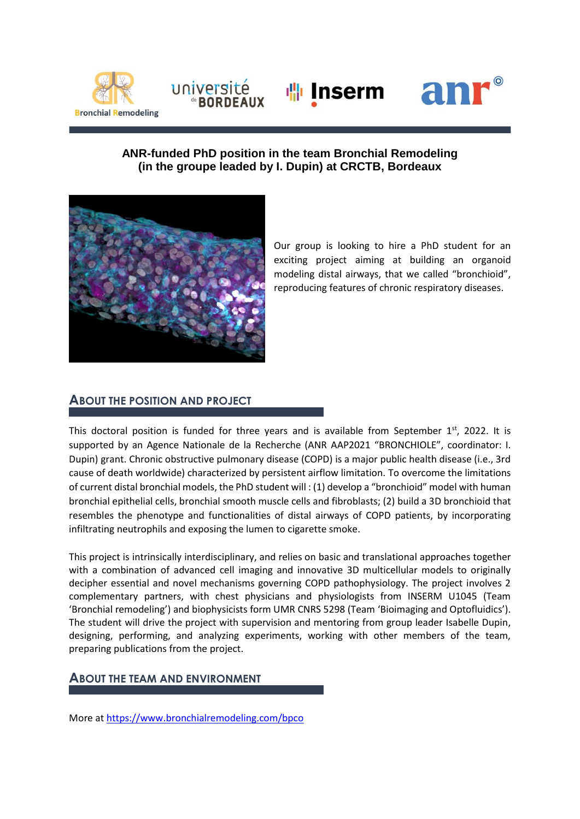





#### **ANR-funded PhD position in the team Bronchial Remodeling (in the groupe leaded by I. Dupin) at CRCTB, Bordeaux**



université

Our group is looking to hire a PhD student for an exciting project aiming at building an organoid modeling distal airways, that we called "bronchioid", reproducing features of chronic respiratory diseases.

### **ABOUT THE POSITION AND PROJECT**

This doctoral position is funded for three years and is available from September  $1<sup>st</sup>$ , 2022. It is supported by an Agence Nationale de la Recherche (ANR AAP2021 "BRONCHIOLE", coordinator: I. Dupin) grant. Chronic obstructive pulmonary disease (COPD) is a major public health disease (i.e., 3rd cause of death worldwide) characterized by persistent airflow limitation. To overcome the limitations of current distal bronchial models, the PhD student will : (1) develop a "bronchioid" model with human bronchial epithelial cells, bronchial smooth muscle cells and fibroblasts; (2) build a 3D bronchioid that resembles the phenotype and functionalities of distal airways of COPD patients, by incorporating infiltrating neutrophils and exposing the lumen to cigarette smoke.

This project is intrinsically interdisciplinary, and relies on basic and translational approaches together with a combination of advanced cell imaging and innovative 3D multicellular models to originally decipher essential and novel mechanisms governing COPD pathophysiology. The project involves 2 complementary partners, with chest physicians and physiologists from INSERM U1045 (Team 'Bronchial remodeling') and biophysicists form UMR CNRS 5298 (Team 'Bioimaging and Optofluidics'). The student will drive the project with supervision and mentoring from group leader Isabelle Dupin, designing, performing, and analyzing experiments, working with other members of the team, preparing publications from the project.

# **ABOUT THE TEAM AND ENVIRONMENT**

More at<https://www.bronchialremodeling.com/bpco>